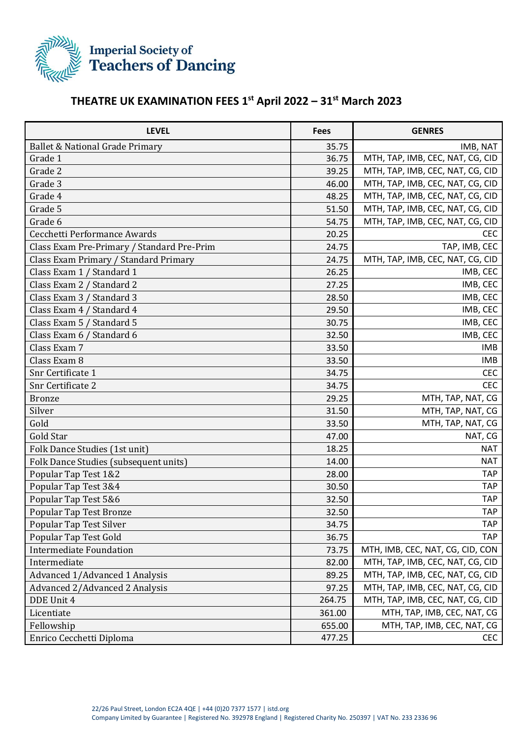

## **THEATRE UK EXAMINATION FEES 1 st April 2022 – 31 st March 2023**

| <b>LEVEL</b>                               | <b>Fees</b> | <b>GENRES</b>                    |
|--------------------------------------------|-------------|----------------------------------|
| Ballet & National Grade Primary            | 35.75       | IMB, NAT                         |
| Grade 1                                    | 36.75       | MTH, TAP, IMB, CEC, NAT, CG, CID |
| Grade 2                                    | 39.25       | MTH, TAP, IMB, CEC, NAT, CG, CID |
| Grade 3                                    | 46.00       | MTH, TAP, IMB, CEC, NAT, CG, CID |
| Grade 4                                    | 48.25       | MTH, TAP, IMB, CEC, NAT, CG, CID |
| Grade 5                                    | 51.50       | MTH, TAP, IMB, CEC, NAT, CG, CID |
| Grade 6                                    | 54.75       | MTH, TAP, IMB, CEC, NAT, CG, CID |
| Cecchetti Performance Awards               | 20.25       | <b>CEC</b>                       |
| Class Exam Pre-Primary / Standard Pre-Prim | 24.75       | TAP, IMB, CEC                    |
| Class Exam Primary / Standard Primary      | 24.75       | MTH, TAP, IMB, CEC, NAT, CG, CID |
| Class Exam 1 / Standard 1                  | 26.25       | IMB, CEC                         |
| Class Exam 2 / Standard 2                  | 27.25       | IMB, CEC                         |
| Class Exam 3 / Standard 3                  | 28.50       | IMB, CEC                         |
| Class Exam 4 / Standard 4                  | 29.50       | IMB, CEC                         |
| Class Exam 5 / Standard 5                  | 30.75       | IMB, CEC                         |
| Class Exam 6 / Standard 6                  | 32.50       | IMB, CEC                         |
| Class Exam 7                               | 33.50       | <b>IMB</b>                       |
| Class Exam 8                               | 33.50       | <b>IMB</b>                       |
| Snr Certificate 1                          | 34.75       | <b>CEC</b>                       |
| Snr Certificate 2                          | 34.75       | <b>CEC</b>                       |
| <b>Bronze</b>                              | 29.25       | MTH, TAP, NAT, CG                |
| Silver                                     | 31.50       | MTH, TAP, NAT, CG                |
| Gold                                       | 33.50       | MTH, TAP, NAT, CG                |
| Gold Star                                  | 47.00       | NAT, CG                          |
| Folk Dance Studies (1st unit)              | 18.25       | <b>NAT</b>                       |
| Folk Dance Studies (subsequent units)      | 14.00       | <b>NAT</b>                       |
| Popular Tap Test 1&2                       | 28.00       | <b>TAP</b>                       |
| Popular Tap Test 3&4                       | 30.50       | <b>TAP</b>                       |
| Popular Tap Test 5&6                       | 32.50       | <b>TAP</b>                       |
| Popular Tap Test Bronze                    | 32.50       | <b>TAP</b>                       |
| Popular Tap Test Silver                    | 34.75       | <b>TAP</b>                       |
| Popular Tap Test Gold                      | 36.75       | TAP                              |
| <b>Intermediate Foundation</b>             | 73.75       | MTH, IMB, CEC, NAT, CG, CID, CON |
| Intermediate                               | 82.00       | MTH, TAP, IMB, CEC, NAT, CG, CID |
| Advanced 1/Advanced 1 Analysis             | 89.25       | MTH, TAP, IMB, CEC, NAT, CG, CID |
| Advanced 2/Advanced 2 Analysis             | 97.25       | MTH, TAP, IMB, CEC, NAT, CG, CID |
| DDE Unit 4                                 | 264.75      | MTH, TAP, IMB, CEC, NAT, CG, CID |
| Licentiate                                 | 361.00      | MTH, TAP, IMB, CEC, NAT, CG      |
| Fellowship                                 | 655.00      | MTH, TAP, IMB, CEC, NAT, CG      |
| Enrico Cecchetti Diploma                   | 477.25      | <b>CEC</b>                       |